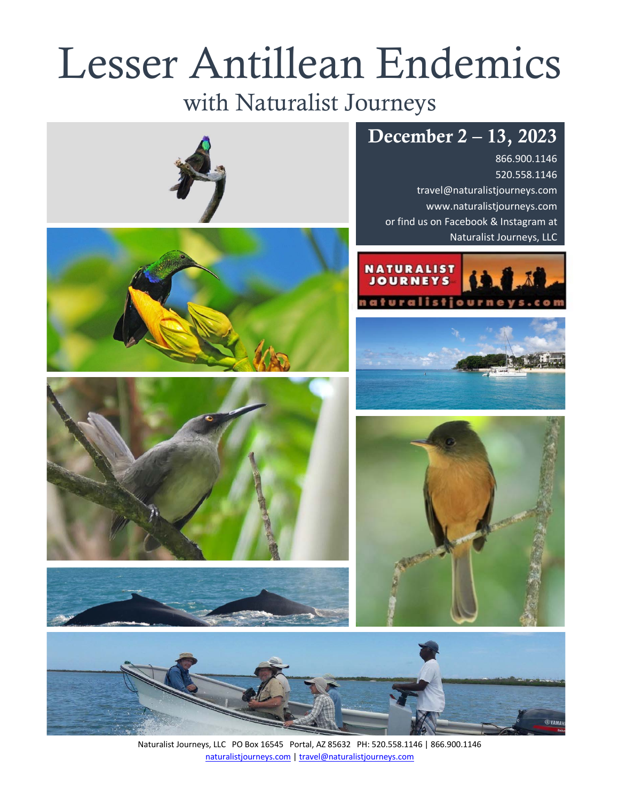# Lesser Antillean Endemics

# with Naturalist Journeys

# December 2 – 13, 2023

866.900.1146 520.558.1146 travel@naturalistjourneys.com www.naturalistjourneys.com or find us on Facebook & Instagram at Naturalist Journeys, LLC















Naturalist Journeys, LLC PO Box 16545 Portal, AZ 85632 PH: 520.558.1146 | 866.900.1146 naturalistjourneys.com | travel@naturalistjourneys.com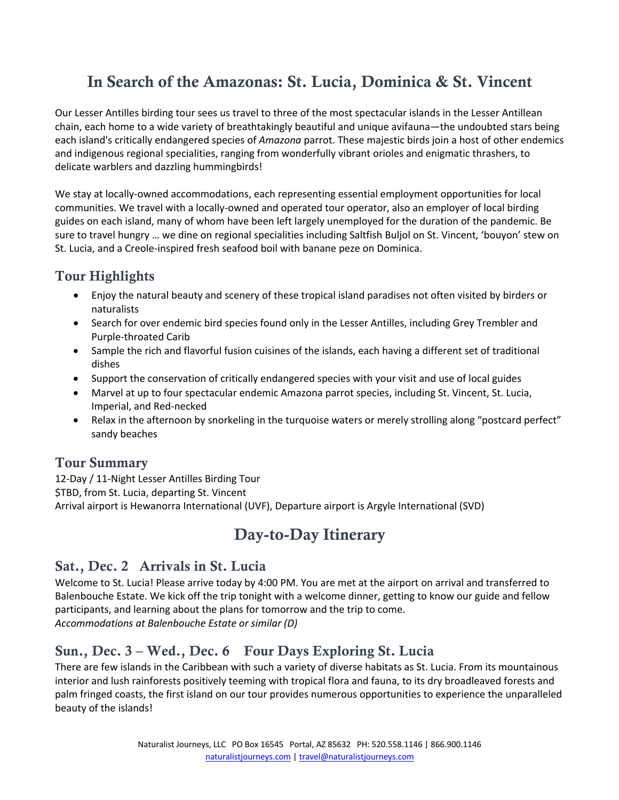## In Search of the Amazonas: St. Lucia, Dominica & St. Vincent

Our Lesser Antilles birding tour sees us travel to three of the most spectacular islands in the Lesser Antillean chain, each home to a wide variety of breathtakingly beautiful and unique avifauna—the undoubted stars being each island's critically endangered species of *Amazona* parrot. These majestic birds join a host of other endemics and indigenous regional specialities, ranging from wonderfully vibrant orioles and enigmatic thrashers, to delicate warblers and dazzling hummingbirds!

We stay at locally-owned accommodations, each representing essential employment opportunities for local communities. We travel with a locally-owned and operated tour operator, also an employer of local birding guides on each island, many of whom have been left largely unemployed for the duration of the pandemic. Be sure to travel hungry … we dine on regional specialities including Saltfish Buljol on St. Vincent, 'bouyon' stew on St. Lucia, and a Creole-inspired fresh seafood boil with banane peze on Dominica.

## Tour Highlights

- Enjoy the natural beauty and scenery of these tropical island paradises not often visited by birders or naturalists
- Search for over endemic bird species found only in the Lesser Antilles, including Grey Trembler and Purple-throated Carib
- Sample the rich and flavorful fusion cuisines of the islands, each having a different set of traditional dishes
- Support the conservation of critically endangered species with your visit and use of local guides
- Marvel at up to four spectacular endemic Amazona parrot species, including St. Vincent, St. Lucia, Imperial, and Red-necked
- Relax in the afternoon by snorkeling in the turquoise waters or merely strolling along "postcard perfect" sandy beaches

#### Tour Summary

12-Day / 11-Night Lesser Antilles Birding Tour

\$TBD, from St. Lucia, departing St. Vincent

Arrival airport is Hewanorra International (UVF), Departure airport is Argyle International (SVD)

## Day-to-Day Itinerary

## Sat., Dec. 2 Arrivals in St. Lucia

Welcome to St. Lucia! Please arrive today by 4:00 PM. You are met at the airport on arrival and transferred to Balenbouche Estate. We kick off the trip tonight with a welcome dinner, getting to know our guide and fellow participants, and learning about the plans for tomorrow and the trip to come. *Accommodations at Balenbouche Estate or similar (D)*

## Sun., Dec. 3 – Wed., Dec. 6 Four Days Exploring St. Lucia

There are few islands in the Caribbean with such a variety of diverse habitats as St. Lucia. From its mountainous interior and lush rainforests positively teeming with tropical flora and fauna, to its dry broadleaved forests and palm fringed coasts, the first island on our tour provides numerous opportunities to experience the unparalleled beauty of the islands!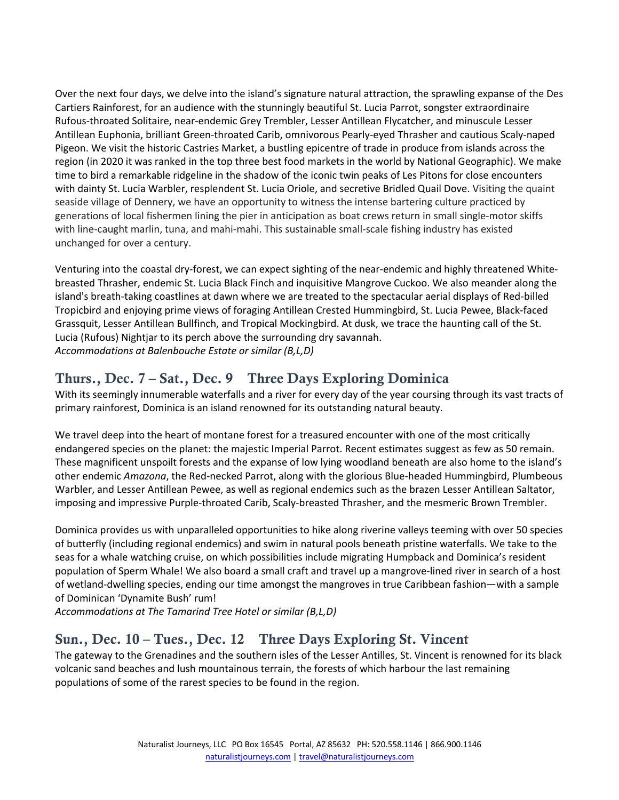Over the next four days, we delve into the island's signature natural attraction, the sprawling expanse of the Des Cartiers Rainforest, for an audience with the stunningly beautiful St. Lucia Parrot, songster extraordinaire Rufous-throated Solitaire, near-endemic Grey Trembler, Lesser Antillean Flycatcher, and minuscule Lesser Antillean Euphonia, brilliant Green-throated Carib, omnivorous Pearly-eyed Thrasher and cautious Scaly-naped Pigeon. We visit the historic Castries Market, a bustling epicentre of trade in produce from islands across the region (in 2020 it was ranked in the top three best food markets in the world by National Geographic). We make time to bird a remarkable ridgeline in the shadow of the iconic twin peaks of Les Pitons for close encounters with dainty St. Lucia Warbler, resplendent St. Lucia Oriole, and secretive Bridled Quail Dove. Visiting the quaint seaside village of Dennery, we have an opportunity to witness the intense bartering culture practiced by generations of local fishermen lining the pier in anticipation as boat crews return in small single-motor skiffs with line-caught marlin, tuna, and mahi-mahi. This sustainable small-scale fishing industry has existed unchanged for over a century.

Venturing into the coastal dry-forest, we can expect sighting of the near-endemic and highly threatened Whitebreasted Thrasher, endemic St. Lucia Black Finch and inquisitive Mangrove Cuckoo. We also meander along the island's breath-taking coastlines at dawn where we are treated to the spectacular aerial displays of Red-billed Tropicbird and enjoying prime views of foraging Antillean Crested Hummingbird, St. Lucia Pewee, Black-faced Grassquit, Lesser Antillean Bullfinch, and Tropical Mockingbird. At dusk, we trace the haunting call of the St. Lucia (Rufous) Nightjar to its perch above the surrounding dry savannah. *Accommodations at Balenbouche Estate or similar (B,L,D)*

#### Thurs., Dec. 7 – Sat., Dec. 9 Three Days Exploring Dominica

With its seemingly innumerable waterfalls and a river for every day of the year coursing through its vast tracts of primary rainforest, Dominica is an island renowned for its outstanding natural beauty.

We travel deep into the heart of montane forest for a treasured encounter with one of the most critically endangered species on the planet: the majestic Imperial Parrot. Recent estimates suggest as few as 50 remain. These magnificent unspoilt forests and the expanse of low lying woodland beneath are also home to the island's other endemic *Amazona*, the Red-necked Parrot, along with the glorious Blue-headed Hummingbird, Plumbeous Warbler, and Lesser Antillean Pewee, as well as regional endemics such as the brazen Lesser Antillean Saltator, imposing and impressive Purple-throated Carib, Scaly-breasted Thrasher, and the mesmeric Brown Trembler.

Dominica provides us with unparalleled opportunities to hike along riverine valleys teeming with over 50 species of butterfly (including regional endemics) and swim in natural pools beneath pristine waterfalls. We take to the seas for a whale watching cruise, on which possibilities include migrating Humpback and Dominica's resident population of Sperm Whale! We also board a small craft and travel up a mangrove-lined river in search of a host of wetland-dwelling species, ending our time amongst the mangroves in true Caribbean fashion—with a sample of Dominican 'Dynamite Bush' rum!

*Accommodations at The Tamarind Tree Hotel or similar (B,L,D)*

#### Sun., Dec. 10 – Tues., Dec. 12 Three Days Exploring St. Vincent

The gateway to the Grenadines and the southern isles of the Lesser Antilles, St. Vincent is renowned for its black volcanic sand beaches and lush mountainous terrain, the forests of which harbour the last remaining populations of some of the rarest species to be found in the region.